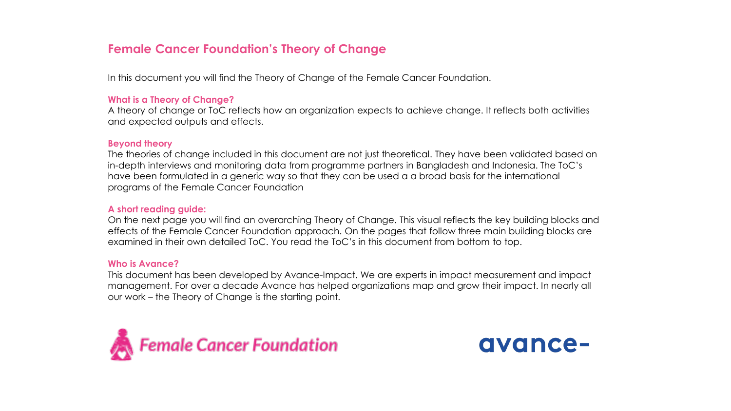## **Female Cancer Foundation's Theory of Change**

In this document you will find the Theory of Change of the Female Cancer Foundation.

#### **What is a Theory of Change?**

A theory of change or ToC reflects how an organization expects to achieve change. It reflects both activities and expected outputs and effects.

#### **Beyond theory**

The theories of change included in this document are not just theoretical. They have been validated based on in-depth interviews and monitoring data from programme partners in Bangladesh and Indonesia. The ToC's have been formulated in a generic way so that they can be used a a broad basis for the international programs of the Female Cancer Foundation

#### **A short reading guide:**

On the next page you will find an overarching Theory of Change. This visual reflects the key building blocks and effects of the Female Cancer Foundation approach. On the pages that follow three main building blocks are examined in their own detailed ToC. You read the ToC's in this document from bottom to top.

#### **Who is Avance?**

This document has been developed by Avance-Impact. We are experts in impact measurement and impact management. For over a decade Avance has helped organizations map and grow their impact. In nearly all our work – the Theory of Change is the starting point.



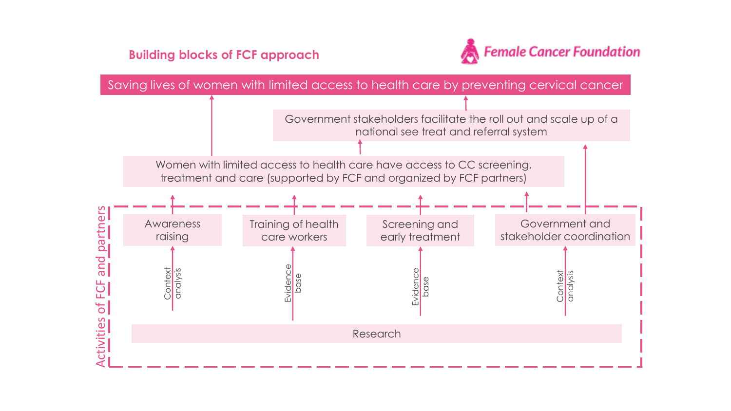**Building blocks of FCF approach**



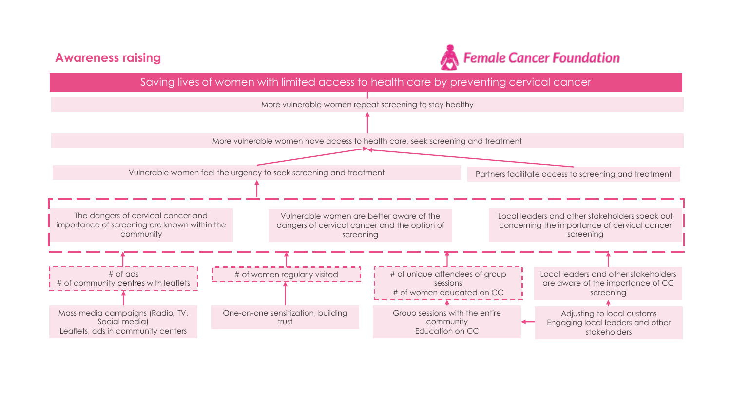### **Awareness raising**



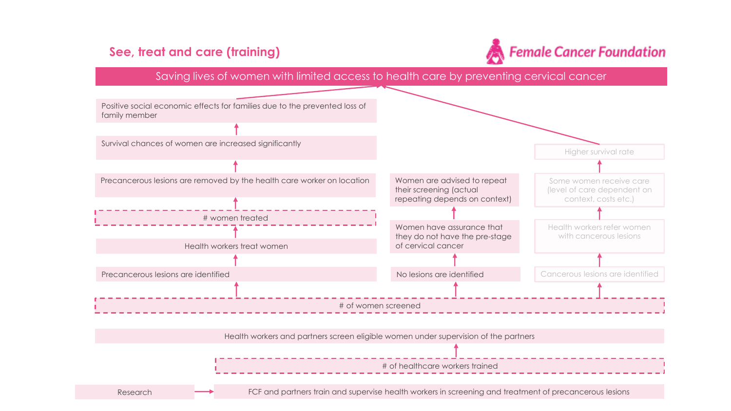# **See, treat and care (training)**



### Saving lives of women with limited access to health care by preventing cervical cancer